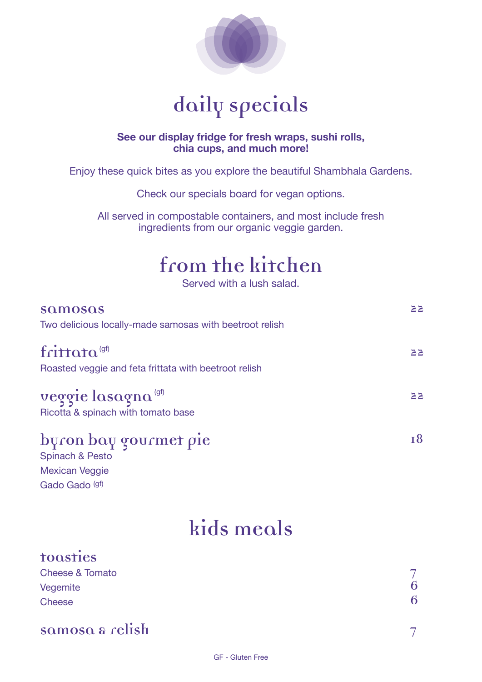

# **daily specials**

#### **See our display fridge for fresh wraps, sushi rolls, chia cups, and much more!**

Enjoy these quick bites as you explore the beautiful Shambhala Gardens.

Check our specials board for vegan options.

All served in compostable containers, and most include fresh ingredients from our organic veggie garden.

# **from the kitchen**

Served with a lush salad.

| samosas<br>Two delicious locally-made samosas with beetroot relish                | 52 |
|-----------------------------------------------------------------------------------|----|
| frittata <sup>(gf)</sup><br>Roasted veggie and feta frittata with beetroot relish | 22 |
| veggie lasagna <sup>(gf)</sup><br>Ricotta & spinach with tomato base              | 22 |
| byron bay gourmet pie<br><b>Spinach &amp; Pesto</b>                               | 18 |

Spinach & Pesto Mexican Veggie Gado Gado (gf)

## **kids meals**

| toosties                   |   |
|----------------------------|---|
| <b>Cheese &amp; Tomato</b> |   |
| Vegemite                   | 6 |
| <b>Cheese</b>              | 6 |
|                            |   |
| samosa & relish            |   |